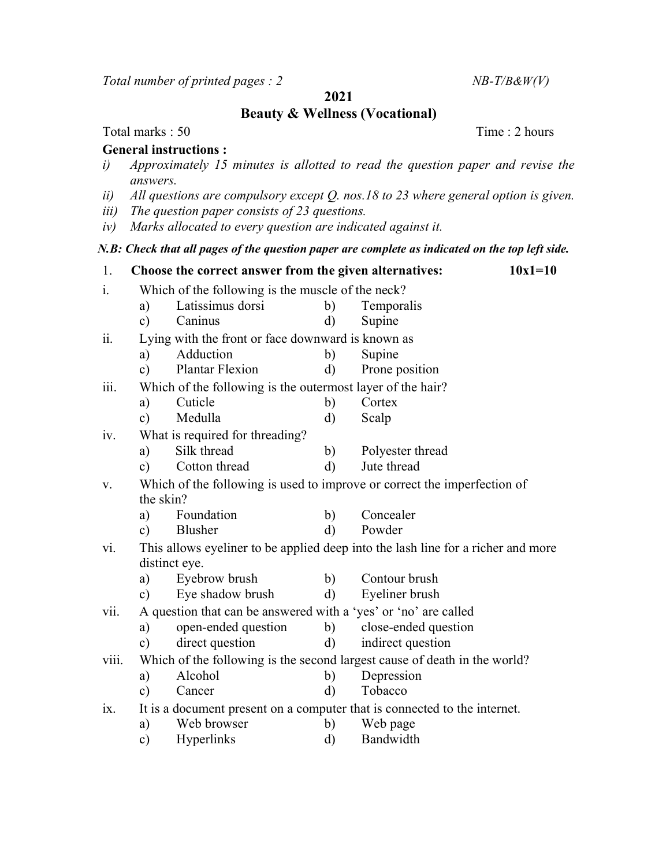Total number of printed pages :  $2$  NB-T/B&W(V)

2021

Beauty & Wellness (Vocational)

## Total marks : 50 Time : 2 hours

## General instructions :

- i) Approximately 15 minutes is allotted to read the question paper and revise the answers.
- ii) All questions are compulsory except Q. nos.18 to 23 where general option is given.
- iii) The question paper consists of 23 questions.
- iv) Marks allocated to every question are indicated against it.

## N.B: Check that all pages of the question paper are complete as indicated on the top left side.

| 1.    |                                                                          | Choose the correct answer from the given alternatives:                                            |              | $10x1=10$            |  |  |
|-------|--------------------------------------------------------------------------|---------------------------------------------------------------------------------------------------|--------------|----------------------|--|--|
| i.    |                                                                          | Which of the following is the muscle of the neck?                                                 |              |                      |  |  |
|       | a)                                                                       | Latissimus dorsi                                                                                  | b)           | Temporalis           |  |  |
|       | $\mathbf{c})$                                                            | Caninus                                                                                           | d)           | Supine               |  |  |
| ii.   |                                                                          | Lying with the front or face downward is known as                                                 |              |                      |  |  |
|       | a)                                                                       | Adduction                                                                                         | b)           | Supine               |  |  |
|       | $\mathbf{c})$                                                            | <b>Plantar Flexion</b>                                                                            | $\rm d)$     | Prone position       |  |  |
| iii.  | Which of the following is the outermost layer of the hair?               |                                                                                                   |              |                      |  |  |
|       | a)                                                                       | Cuticle                                                                                           | b)           | Cortex               |  |  |
|       | $\mathbf{c})$                                                            | Medulla                                                                                           | $\rm d)$     | Scalp                |  |  |
| 1V.   |                                                                          | What is required for threading?                                                                   |              |                      |  |  |
|       | a)                                                                       | Silk thread                                                                                       | b)           | Polyester thread     |  |  |
|       | $\mathbf{c})$                                                            | Cotton thread                                                                                     | $\mathbf{d}$ | Jute thread          |  |  |
| V.    | Which of the following is used to improve or correct the imperfection of |                                                                                                   |              |                      |  |  |
|       |                                                                          | the skin?                                                                                         |              |                      |  |  |
|       | a)                                                                       | Foundation                                                                                        | b)           | Concealer            |  |  |
|       | $\mathbf{c})$                                                            | Blusher                                                                                           | $\mathbf{d}$ | Powder               |  |  |
| vi.   |                                                                          | This allows eyeliner to be applied deep into the lash line for a richer and more<br>distinct eye. |              |                      |  |  |
|       | a)                                                                       | Eyebrow brush                                                                                     | b)           | Contour brush        |  |  |
|       | $\mathbf{c})$                                                            | Eye shadow brush                                                                                  | $\rm d)$     | Eyeliner brush       |  |  |
| vii.  |                                                                          | A question that can be answered with a 'yes' or 'no' are called                                   |              |                      |  |  |
|       | a)                                                                       | open-ended question                                                                               | b)           | close-ended question |  |  |
|       | c)                                                                       | direct question                                                                                   | $\mathbf{d}$ | indirect question    |  |  |
| V111. |                                                                          | Which of the following is the second largest cause of death in the world?                         |              |                      |  |  |
|       | a)                                                                       | Alcohol                                                                                           | b)           | Depression           |  |  |
|       | $\mathbf{c})$                                                            | Cancer                                                                                            | $\rm d)$     | Tobacco              |  |  |
| ix.   |                                                                          | It is a document present on a computer that is connected to the internet.                         |              |                      |  |  |
|       | a)                                                                       | Web browser                                                                                       | b)           | Web page             |  |  |
|       | $\circ$ )                                                                | <b>Hyperlinks</b>                                                                                 | $\rm d)$     | Bandwidth            |  |  |
|       |                                                                          |                                                                                                   |              |                      |  |  |